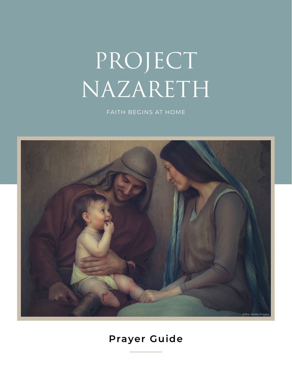# PROJECT NAZARETH

FAITH BEGINS AT HOME



# **Prayer Guide**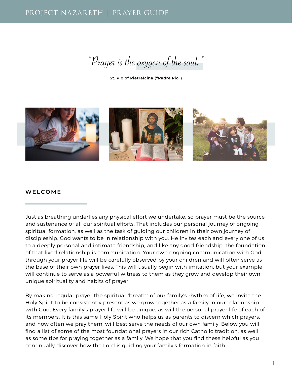"Prayer is the oxygen of the soul."

**St. Pio of Pietrelcina ("Padre Pio")**



#### **WELCOME**

Just as breathing underlies any physical effort we undertake, so prayer must be the source and sustenance of all our spiritual efforts. That includes our personal journey of ongoing spiritual formation, as well as the task of guiding our children in their own journey of discipleship. God wants to be in relationship with you. He invites each and every one of us to a deeply personal and intimate friendship, and like any good friendship, the foundation of that lived relationship is communication. Your own ongoing communication with God through your prayer life will be carefully observed by your children and will often serve as the base of their own prayer lives. This will usually begin with imitation, but your example will continue to serve as a powerful witness to them as they grow and develop their own unique spirituality and habits of prayer.

By making regular prayer the spiritual "breath" of our family's rhythm of life, we invite the Holy Spirit to be consistently present as we grow together as a family in our relationship with God. Every family's prayer life will be unique, as will the personal prayer life of each of its members. It is this same Holy Spirit who helps us as parents to discern which prayers, and how often we pray them, will best serve the needs of our own family. Below you will find a list of some of the most foundational prayers in our rich Catholic tradition, as well as some tips for praying together as a family. We hope that you find these helpful as you continually discover how the Lord is guiding your family's formation in faith.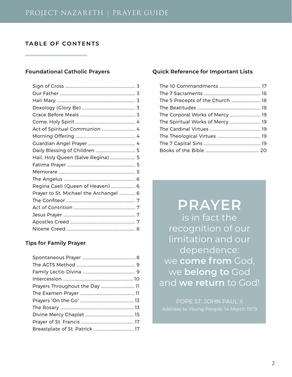# **TABLE OF CONTENTS**

# **Foundational Catholic Prayers**

| Act of Spiritual Communion  4          |  |
|----------------------------------------|--|
|                                        |  |
|                                        |  |
|                                        |  |
| Hail, Holy Queen (Salve Regina)  5     |  |
|                                        |  |
|                                        |  |
|                                        |  |
| Regina Caeli (Queen of Heaven)  6      |  |
| Prayer to St. Michael the Archangel  6 |  |
|                                        |  |
|                                        |  |
|                                        |  |
|                                        |  |
|                                        |  |
|                                        |  |

# **Tips for Family Prayer**

| Prayers Throughout the Day  11 |  |
|--------------------------------|--|
|                                |  |
|                                |  |
|                                |  |
|                                |  |
|                                |  |
|                                |  |
|                                |  |

#### **Quick Reference for Important Lists**

| The 5 Precepts of the Church  18 |  |
|----------------------------------|--|
|                                  |  |
| The Corporal Works of Mercy  19  |  |
| The Spiritual Works of Mercy  19 |  |
|                                  |  |
|                                  |  |
|                                  |  |
|                                  |  |

**PRAYER** is in fact the recognition of our limitation and our dependence: we **come from** God, we **belong to** God and **we return** to God!

POPE ST. JOHN PAUL II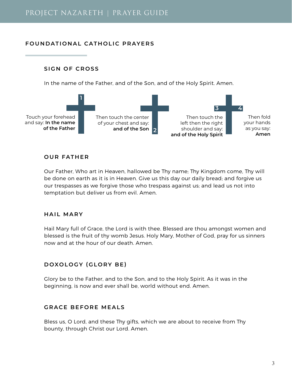# **FOUNDATIONAL CATHOLIC PRAYERS**

#### **SIGN OF CROSS**

In the name of the Father, and of the Son, and of the Holy Spirit. Amen.



# **OUR FATHER**

Our Father, Who art in Heaven, hallowed be Thy name; Thy Kingdom come, Thy will be done on earth as it is in Heaven. Give us this day our daily bread; and forgive us our trespasses as we forgive those who trespass against us; and lead us not into temptation but deliver us from evil. Amen.

# **HAIL MARY**

Hail Mary full of Grace, the Lord is with thee. Blessed are thou amongst women and blessed is the fruit of thy womb Jesus. Holy Mary, Mother of God, pray for us sinners now and at the hour of our death. Amen.

# **DOXOLOGY (GLORY BE)**

Glory be to the Father, and to the Son, and to the Holy Spirit. As it was in the beginning, is now and ever shall be, world without end. Amen.

# **GRACE BEFORE MEALS**

Bless us, O Lord, and these Thy gifts, which we are about to receive from Thy bounty, through Christ our Lord. Amen.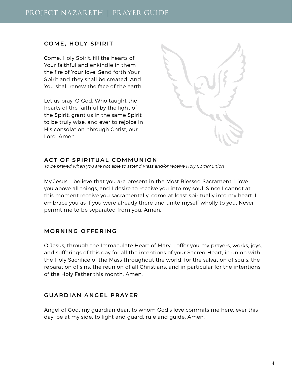# **COME, HOLY SPIRIT**

Come, Holy Spirit, fill the hearts of Your faithful and enkindle in them the fire of Your love. Send forth Your Spirit and they shall be created. And You shall renew the face of the earth.

Let us pray. O God, Who taught the hearts of the faithful by the light of the Spirit, grant us in the same Spirit to be truly wise, and ever to rejoice in His consolation, through Christ, our Lord. Amen.



# **ACT OF SPIRITUAL COMMUNION**

To be prayed when you are not able to attend Mass and/or receive Holy Communion

My Jesus, I believe that you are present in the Most Blessed Sacrament. I love you above all things, and I desire to receive you into my soul. Since I cannot at this moment receive you sacramentally, come at least spiritually into my heart. I embrace you as if you were already there and unite myself wholly to you. Never permit me to be separated from you. Amen.

# **MORNING OFFERING**

O Jesus, through the Immaculate Heart of Mary, I offer you my prayers, works, joys, and sufferings of this day for all the intentions of your Sacred Heart, in union with the Holy Sacrifice of the Mass throughout the world, for the salvation of souls, the reparation of sins, the reunion of all Christians, and in particular for the intentions of the Holy Father this month. Amen.

# **GUARDIAN ANGEL PRAYER**

Angel of God, my guardian dear, to whom God's love commits me here, ever this day, be at my side, to light and guard, rule and guide. Amen.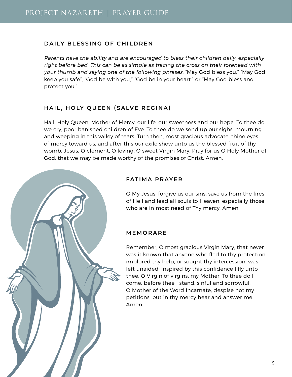# **DAILY BLESSING OF CHILDREN**

Parents have the ability and are encouraged to bless their children daily, especially right before bed. This can be as simple as tracing the cross on their forehead with your thumb and saying one of the following phrases: "May God bless you," "May God keep you safe", "God be with you," "God be in your heart," or "May God bless and protect you."

# **HAIL, HOLY QUEEN (SALVE REGINA)**

Hail, Holy Queen, Mother of Mercy, our life, our sweetness and our hope. To thee do we cry, poor banished children of Eve. To thee do we send up our sighs, mourning and weeping in this valley of tears. Turn then, most gracious advocate, thine eyes of mercy toward us, and after this our exile show unto us the blessed fruit of thy womb, Jesus. O clement, O loving, O sweet Virgin Mary. Pray for us O Holy Mother of God, that we may be made worthy of the promises of Christ. Amen.



O My Jesus, forgive us our sins, save us from the fires of Hell and lead all souls to Heaven, especially those who are in most need of Thy mercy. Amen.

# **MEMORARE**

Remember, O most gracious Virgin Mary, that never was it known that anyone who fled to thy protection, implored thy help, or sought thy intercession, was left unaided. Inspired by this confidence I fly unto thee, O Virgin of virgins, my Mother. To thee do I come, before thee I stand, sinful and sorrowful. O Mother of the Word Incarnate, despise not my petitions, but in thy mercy hear and answer me. Amen.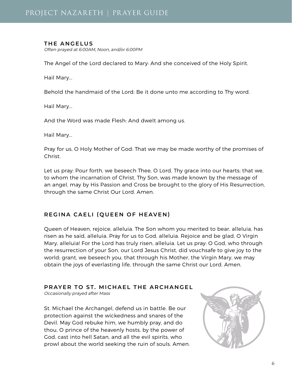#### **THE ANGELUS**

Often prayed at 6:00AM, Noon, and/or 6:00PM

The Angel of the Lord declared to Mary: And she conceived of the Holy Spirit.

Hail Mary...

Behold the handmaid of the Lord: Be it done unto me according to Thy word.

Hail Mary...

And the Word was made Flesh: And dwelt among us.

Hail Mary...

Pray for us, O Holy Mother of God: That we may be made worthy of the promises of Christ.

Let us pray: Pour forth, we beseech Thee, O Lord, Thy grace into our hearts; that we, to whom the incarnation of Christ, Thy Son, was made known by the message of an angel, may by His Passion and Cross be brought to the glory of His Resurrection, through the same Christ Our Lord. Amen.

# **REGINA CAELI (QUEEN OF HEAVEN)**

Queen of Heaven, rejoice, alleluia. The Son whom you merited to bear, alleluia, has risen as he said, alleluia. Pray for us to God, alleluia. Rejoice and be glad, O Virgin Mary, alleluia! For the Lord has truly risen, alleluia. Let us pray: O God, who through the resurrection of your Son, our Lord Jesus Christ, did vouchsafe to give joy to the world; grant, we beseech you, that through his Mother, the Virgin Mary, we may obtain the joys of everlasting life, through the same Christ our Lord. Amen.

**PRAYER TO ST. MICHAEL THE ARCHANGEL**

Occasionally prayed after Mass

St. Michael the Archangel, defend us in battle. Be our protection against the wickedness and snares of the Devil. May God rebuke him, we humbly pray, and do thou, O prince of the heavenly hosts, by the power of God, cast into hell Satan, and all the evil spirits, who prowl about the world seeking the ruin of souls. Amen.

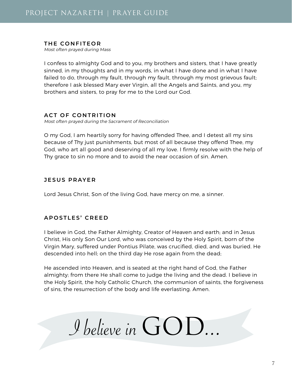#### **THE CONFITEOR**

Most often prayed during Mass

I confess to almighty God and to you, my brothers and sisters, that I have greatly sinned, in my thoughts and in my words, in what I have done and in what I have failed to do, through my fault, through my fault, through my most grievous fault; therefore I ask blessed Mary ever Virgin, all the Angels and Saints, and you, my brothers and sisters, to pray for me to the Lord our God.

# **ACT OF CONTRITION**

Most often prayed during the Sacrament of Reconciliation

O my God, I am heartily sorry for having offended Thee, and I detest all my sins because of Thy just punishments, but most of all because they offend Thee, my God, who art all good and deserving of all my love. I firmly resolve with the help of Thy grace to sin no more and to avoid the near occasion of sin. Amen.

# **JESUS PRAYER**

Lord Jesus Christ, Son of the living God, have mercy on me, a sinner.

# **APOSTLES' CREED**

I believe in God, the Father Almighty, Creator of Heaven and earth; and in Jesus Christ, His only Son Our Lord, who was conceived by the Holy Spirit, born of the Virgin Mary, suffered under Pontius Pilate, was crucified, died, and was buried. He descended into hell; on the third day He rose again from the dead;

He ascended into Heaven, and is seated at the right hand of God, the Father almighty; from there He shall come to judge the living and the dead. I believe in the Holy Spirit, the holy Catholic Church, the communion of saints, the forgiveness of sins, the resurrection of the body and life everlasting. Amen.

I believe in GOD...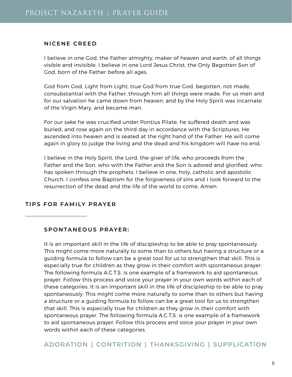#### **NICENE CREED**

I believe in one God, the Father almighty, maker of heaven and earth, of all things visible and invisible. I believe in one Lord Jesus Christ, the Only Begotten Son of God, born of the Father before all ages.

God from God, Light from Light, true God from true God, begotten, not made, consubstantial with the Father; through him all things were made. For us men and for our salvation he came down from heaven, and by the Holy Spirit was incarnate of the Virgin Mary, and became man.

For our sake he was crucified under Pontius Pilate, he suffered death and was buried, and rose again on the third day in accordance with the Scriptures. He ascended into heaven and is seated at the right hand of the Father. He will come again in glory to judge the living and the dead and his kingdom will have no end.

I believe in the Holy Spirit, the Lord, the giver of life, who proceeds from the Father and the Son, who with the Father and the Son is adored and glorified, who has spoken through the prophets. I believe in one, holy, catholic and apostolic Church. I confess one Baptism for the forgiveness of sins and I look forward to the resurrection of the dead and the life of the world to come. Amen.

# **TIPS FOR FAMILY PRAYER**

#### **SPONTANEOUS PRAYER:**

It is an important skill in the life of discipleship to be able to pray spontaneously. This might come more naturally to some than to others but having a structure or a guiding formula to follow can be a great tool for us to strengthen that skill. This is especially true for children as they grow in their comfort with spontaneous prayer. The following formula A.C.T.S. is one example of a framework to aid spontaneous prayer. Follow this process and voice your prayer in your own words within each of these categories. It is an important skill in the life of discipleship to be able to pray spontaneously. This might come more naturally to some than to others but having a structure or a guiding formula to follow can be a great tool for us to strengthen that skill. This is especially true for children as they grow in their comfort with spontaneous prayer. The following formula A.C.T.S. is one example of a framework to aid spontaneous prayer. Follow this process and voice your prayer in your own words within each of these categories.

**ADORATION | CONTRITION | THANKSGIVING | SUPPLICATION**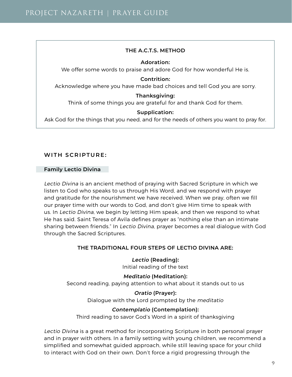#### **THE A.C.T.S. METHOD**

#### **Adoration:**

We offer some words to praise and adore God for how wonderful He is.

**Contrition:** Acknowledge where you have made bad choices and tell God you are sorry.

#### **Thanksgiving:**

Think of some things you are grateful for and thank God for them.

#### **Supplication:**

Ask God for the things that you need, and for the needs of others you want to pray for.

# **WITH SCRIPTURE:**

#### **Family Lectio Divina**

Lectio Divina is an ancient method of praying with Sacred Scripture in which we listen to God who speaks to us through His Word, and we respond with prayer and gratitude for the nourishment we have received. When we pray, often we fill our prayer time with our words to God, and don't give Him time to speak with us. In Lectio Divina, we begin by letting Him speak, and then we respond to what He has said. Saint Teresa of Avila defines prayer as "nothing else than an intimate sharing between friends." In Lectio Divina, prayer becomes a real dialogue with God through the Sacred Scriptures.

#### **THE TRADITIONAL FOUR STEPS OF LECTIO DIVINA ARE:**

**Lectio (Reading):** Initial reading of the text

**Meditatio (Meditation):**

Second reading, paying attention to what about it stands out to us

**Oratio (Prayer):** Dialogue with the Lord prompted by the meditatio

#### **Contemplatio (Contemplation):**

Third reading to savor God's Word in a spirit of thanksgiving

Lectio Divina is a great method for incorporating Scripture in both personal prayer and in prayer with others. In a family setting with young children, we recommend a simplified and somewhat guided approach, while still leaving space for your child to interact with God on their own. Don't force a rigid progressing through the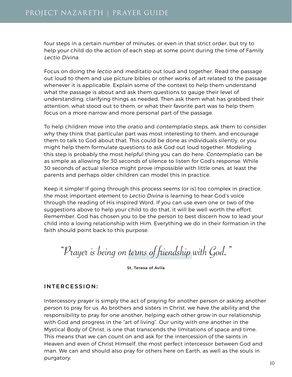four steps in a certain number of minutes, or even in that strict order, but try to help your child do the action of each step at some point during the time of Family Lectio Divina.

Focus on doing the lectio and meditatio out loud and together. Read the passage out loud to them and use picture bibles or other works of art related to the passage whenever it is applicable. Explain some of the context to help them understand what the passage is about and ask them questions to gauge their level of understanding, clarifying things as needed. Then ask them what has grabbed their attention, what stood out to them, or what their favorite part was to help them focus on a more narrow and more personal part of the passage.

To help children move into the oratio and contemplatio steps, ask them to consider why they think that particular part was most interesting to them, and encourage them to talk to God about that. This could be done as individuals silently, or you might help them formulate questions to ask God out loud together. Modeling this step is probably the most helpful thing you can do here. Contemplatio can be as simple as allowing for 30 seconds of silence to listen for God's response. While 30 seconds of actual silence might prove impossible with little ones, at least the parents and perhaps older children can model this in practice.

Keep it simple! If going through this process seems (or is) too complex in practice, the most important element to Lectio Divina is learning to hear God's voice through the reading of His inspired Word. If you can use even one or two of the suggestions above to help your child to do that, it will be well worth the effort. Remember, God has chosen you to be the person to best discern how to lead your child into a loving relationship with Him. Everything we do in their formation in the faith should point back to this purpose.

"Prayer is being on terms of friendship with God."

**St. Teresa of Avila**

# **INTERCESSION:**

Intercessory prayer is simply the act of praying for another person or asking another person to pray for us. As brothers and sisters in Christ, we have the ability and the responsibility to pray for one another, helping each other grow in our relationship with God and progress in the "art of living". Our unity with one another in the Mystical Body of Christ, is one that transcends the limitations of space and time. This means that we can count on and ask for the intercession of the saints in Heaven and even of Christ Himself, the most perfect intercessor between God and man. We can and should also pray for others here on Earth, as well as the souls in purgatory.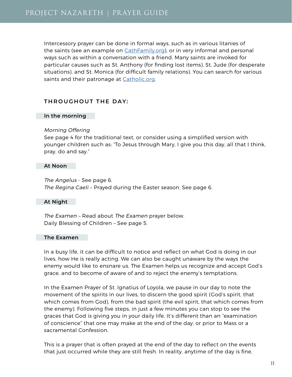Intercessory prayer can be done in formal ways, such as in various litanies of the saints (see an example on [CathFamily.org](https://cathfamily.org/the-mini-litany-of-saints/)), or in very informal and personal ways such as within a conversation with a friend. Many saints are invoked for particular causes such as St. Anthony (for finding lost items), St. Jude (for desperate situations), and St. Monica (for difficult family relations). You can search for various saints and their patronage at [Catholic.org.](https://www.catholic.org/saints/patron.php)

# **THROUGHOUT THE DAY:**

#### **In the morning**

#### Morning Offering

See page 4 for the traditional text, or consider using a simplified version with younger children such as: "To Jesus through Mary, I give you this day, all that I think, pray, do and say."

#### **At Noon**

The Angelus - See page 6. The Regina Caeli – Prayed during the Easter season. See page 6.

#### **At Night**

The Examen – Read about The Examen prayer below. Daily Blessing of Children – See page 5.

#### **The Examen**

In a busy life, it can be difficult to notice and reflect on what God is doing in our lives, how He is really acting. We can also be caught unaware by the ways the enemy would like to ensnare us. The Examen helps us recognize and accept God's grace, and to become of aware of and to reject the enemy's temptations.

In the Examen Prayer of St. Ignatius of Loyola, we pause in our day to note the movement of the spirits in our lives, to discern the good spirit (God's spirit, that which comes from God), from the bad spirit (the evil spirit, that which comes from the enemy). Following five steps, in just a few minutes you can stop to see the graces that God is giving you in your daily life. It's different than an "examination of conscience" that one may make at the end of the day, or prior to Mass or a sacramental Confession.

This is a prayer that is often prayed at the end of the day to reflect on the events that just occurred while they are still fresh. In reality, anytime of the day is fine,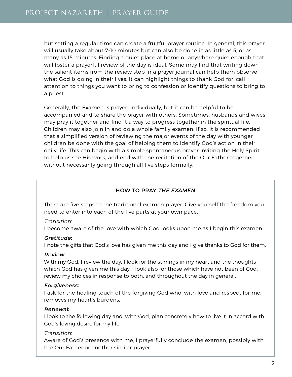but setting a regular time can create a fruitful prayer routine. In general, this prayer will usually take about 7-10 minutes but can also be done in as little as 5, or as many as 15 minutes. Finding a quiet place at home or anywhere quiet enough that will foster a prayerful review of the day is ideal. Some may find that writing down the salient items from the review step in a prayer journal can help them observe what God is doing in their lives. It can highlight things to thank God for, call attention to things you want to bring to confession or identify questions to bring to a priest.

Generally, the Examen is prayed individually, but it can be helpful to be accompanied and to share the prayer with others. Sometimes, husbands and wives may pray it together and find it a way to progress together in the spiritual life. Children may also join in and do a whole family examen. If so, it is recommended that a simplified version of reviewing the major events of the day with younger children be done with the goal of helping them to identify God's action in their daily life. This can begin with a simple spontaneous prayer inviting the Holy Spirit to help us see His work, and end with the recitation of the Our Father together without necessarily going through all five steps formally.

# **HOW TO PRAY THE EXAMEN**

There are five steps to the traditional examen prayer. Give yourself the freedom you need to enter into each of the five parts at your own pace.

# Transition:

I become aware of the love with which God looks upon me as I begin this examen.

# **Gratitude:**

I note the gifts that God's love has given me this day and I give thanks to God for them.

# **Review:**

With my God, I review the day. I look for the stirrings in my heart and the thoughts which God has given me this day. I look also for those which have not been of God. I review my choices in response to both, and throughout the day in general.

# **Forgiveness:**

I ask for the healing touch of the forgiving God who, with love and respect for me, removes my heart's burdens.

# **Renewal:**

I look to the following day and, with God, plan concretely how to live it in accord with God's loving desire for my life.

# Transition:

Aware of God's presence with me, I prayerfully conclude the examen, possibly with the Our Father or another similar prayer.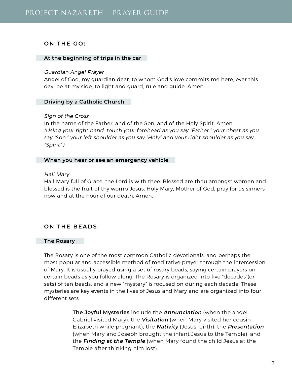#### **ON THE GO:**

#### **At the beginning of trips in the car**

#### Guardian Angel Prayer

Angel of God, my guardian dear, to whom God's love commits me here, ever this day, be at my side, to light and guard, rule and guide. Amen.

#### **Driving by a Catholic Church**

#### Sign of the Cross

In the name of the Father, and of the Son, and of the Holy Spirit. Amen. (Using your right hand, touch your forehead as you say "Father," your chest as you say "Son," your left shoulder as you say "Holy" and your right shoulder as you say "Spirit".)

#### **When you hear or see an emergency vehicle**

#### Hail Mary

Hail Mary full of Grace, the Lord is with thee. Blessed are thou amongst women and blessed is the fruit of thy womb Jesus. Holy Mary, Mother of God, pray for us sinners now and at the hour of our death. Amen.

# **ON THE BEADS:**

#### **The Rosary**

The Rosary is one of the most common Catholic devotionals, and perhaps the most popular and accessible method of meditative prayer through the intercession of Mary. It is usually prayed using a set of rosary beads, saying certain prayers on certain beads as you follow along. The Rosary is organized into five "decades"(or sets) of ten beads, and a new "mystery" is focused on during each decade. These mysteries are key events in the lives of Jesus and Mary and are organized into four different sets.

> **The Joyful Mysteries** include the **Annunciation** (when the angel Gabriel visited Mary); the **Visitation** (when Mary visited her cousin Elizabeth while pregnant); the **Nativity** (Jesus' birth); the **Presentation** (when Mary and Joseph brought the infant Jesus to the Temple); and the **Finding at the Temple** (when Mary found the child Jesus at the Temple after thinking him lost).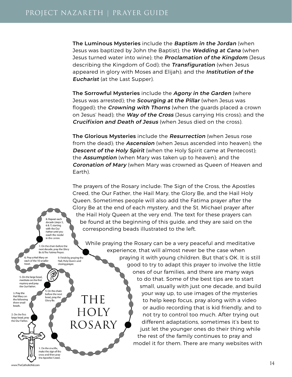**The Luminous Mysteries** include the **Baptism in the Jordan** (when Jesus was baptized by John the Baptist); the **Wedding at Cana** (when Jesus turned water into wine); the **Proclamation of the Kingdom** (Jesus describing the Kingdom of God); the **Transfiguration** (when Jesus appeared in glory with Moses and Elijah); and the **Institution of the Eucharist** (at the Last Supper).

**The Sorrowful Mysteries** include the **Agony in the Garden** (where Jesus was arrested); the **Scourging at the Pillar** (when Jesus was flogged); the **Crowning with Thorns** (when the guards placed a crown on Jesus' head); the **Way of the Cross** (Jesus carrying His cross); and the **Crucifixion and Death of Jesus** (when Jesus died on the cross).

**The Glorious Mysteries** include the **Resurrection** (when Jesus rose from the dead); the **Ascension** (when Jesus ascended into heaven); the **Descent of the Holy Spirit** (when the Holy Spirit came at Pentecost); the **Assumption** (when Mary was taken up to heaven); and the **Coronation of Mary** (when Mary was crowned as Queen of Heaven and Earth).

The prayers of the Rosary include: The Sign of the Cross, the Apostles Creed, the Our Father, the Hail Mary, the Glory Be, and the Hail Holy Queen. Sometimes people will also add the Fatima prayer after the Glory Be at the end of each mystery, and the St. Michael prayer after the Hail Holy Queen at the very end. The text for these prayers can be found at the beginning of this guide, and they are said on the corresponding beads illustrated to the left.

While praying the Rosary can be a very peaceful and meditative experience, that will almost never be the case when praying it with young children. But that's OK. It is still good to try to adapt this prayer to involve the little ones of our families, and there are many ways to do that. Some of the best tips are to start small, usually with just one decade, and build your way up, to use images of the mysteries THE to help keep focus, pray along with a video or audio recording that is kid friendly, and to HOLY not try to control too much. After trying out ROSARY different adaptations, sometimes it's best to just let the younger ones do their thing while the rest of the family continues to pray and model it for them. There are many websites with

8. Repeat each decade (steps 5, 6 & 7) starting with the Our Father until you reach the medal in the center.

7. On the chain before the next decade, pray the Glory Be & The Fatima Prayer

4. On the chain

before the next

bead, pray the

Glory Be.

1. On the crucifix, make the sign of the cross and then pray the Apostles' Creed.

9. Finish by praying the Hail, Holy Queen and

closing prayer.

6. Pray a Hail Mary on each of the 10 smaller bead.

5. On the large bead. meditate on the first mystery and pray the Our Father

3. Pray the Hail Mary on the following three small

2. On the first large bead, pray the Our Father.

beads.

www.TheCatholicKid.com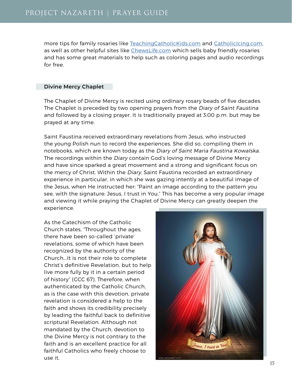more tips for family rosaries like [TeachingCatholicKids.com](https://teachingcatholickids.com) and [CatholicIcing.com](https://www.catholicicing.com), as well as other helpful sites like [ChewsLife.com](http://chewslife.com/) which sells baby friendly rosaries and has some great materials to help such as coloring pages and audio recordings for free.

#### **Divine Mercy Chaplet**

The Chaplet of Divine Mercy is recited using ordinary rosary beads of five decades. The Chaplet is preceded by two opening prayers from the Diary of Saint Faustina and followed by a closing prayer. It is traditionally prayed at 3:00 p.m. but may be prayed at any time.

Saint Faustina received extraordinary revelations from Jesus, who instructed the young Polish nun to record the experiences. She did so, compiling them in notebooks, which are known today as the Diary of Saint Maria Faustina Kowalska. The recordings within the Diary contain God's loving message of Divine Mercy and have since sparked a great movement and a strong and significant focus on the mercy of Christ. Within the Diary, Saint Faustina recorded an extraordinary experience in particular, in which she was gazing intently at a beautiful image of the Jesus, when He instructed her: "Paint an image according to the pattern you see, with the signature: Jesus, I trust in You." This has become a very popular image and viewing it while praying the Chaplet of Divine Mercy can greatly deepen the experience.

As the Catechism of the Catholic Church states, "Throughout the ages, there have been so-called 'private' revelations, some of which have been recognized by the authority of the Church...It is not their role to complete Christ's definitive Revelation, but to help live more fully by it in a certain period of history" (CCC 67). Therefore, when authenticated by the Catholic Church, as is the case with this devotion, private revelation is considered a help to the faith and shows its credibility precisely by leading the faithful back to definitive scriptural Revelation. Although not mandated by the Church, devotion to the Divine Mercy is not contrary to the faith and is an excellent practice for all faithful Catholics who freely choose to use it.

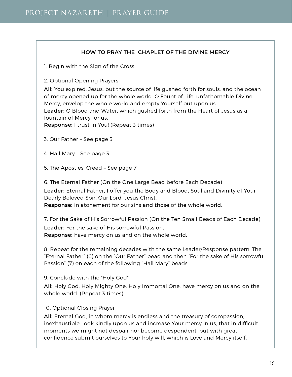# **HOW TO PRAY THE CHAPLET OF THE DIVINE MERCY**

1. Begin with the Sign of the Cross.

2. Optional Opening Prayers

**All:** You expired, Jesus, but the source of life gushed forth for souls, and the ocean of mercy opened up for the whole world. O Fount of Life, unfathomable Divine Mercy, envelop the whole world and empty Yourself out upon us. **Leader:** O Blood and Water, which gushed forth from the Heart of Jesus as a fountain of Mercy for us,

**Response:** I trust in You! (Repeat 3 times)

- 3. Our Father See page 3.
- 4. Hail Mary See page 3.

5. The Apostles' Creed – See page 7.

6. The Eternal Father (On the One Large Bead before Each Decade)

**Leader:** Eternal Father, I offer you the Body and Blood, Soul and Divinity of Your Dearly Beloved Son, Our Lord, Jesus Christ,

**Response:** in atonement for our sins and those of the whole world.

7. For the Sake of His Sorrowful Passion (On the Ten Small Beads of Each Decade) **Leader:** For the sake of His sorrowful Passion, **Response:** have mercy on us and on the whole world.

8. Repeat for the remaining decades with the same Leader/Response pattern: The "Eternal Father" (6) on the "Our Father" bead and then "For the sake of His sorrowful Passion" (7) on each of the following "Hail Mary" beads.

9. Conclude with the "Holy God"

**All:** Holy God, Holy Mighty One, Holy Immortal One, have mercy on us and on the whole world. (Repeat 3 times)

# 10. Optional Closing Prayer

**All:** Eternal God, in whom mercy is endless and the treasury of compassion, inexhaustible, look kindly upon us and increase Your mercy in us, that in difficult moments we might not despair nor become despondent, but with great confidence submit ourselves to Your holy will, which is Love and Mercy itself.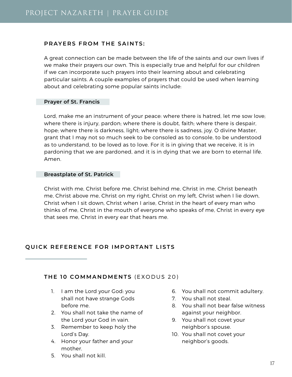#### **PRAYERS FROM THE SAINTS:**

A great connection can be made between the life of the saints and our own lives if we make their prayers our own. This is especially true and helpful for our children if we can incorporate such prayers into their learning about and celebrating particular saints. A couple examples of prayers that could be used when learning about and celebrating some popular saints include:

#### **Prayer of St. Francis**

Lord, make me an instrument of your peace: where there is hatred, let me sow love; where there is injury, pardon; where there is doubt, faith; where there is despair, hope; where there is darkness, light; where there is sadness, joy. O divine Master, grant that I may not so much seek to be consoled as to console, to be understood as to understand, to be loved as to love. For it is in giving that we receive, it is in pardoning that we are pardoned, and it is in dying that we are born to eternal life. Amen.

#### **Breastplate of St. Patrick**

Christ with me, Christ before me, Christ behind me, Christ in me, Christ beneath me, Christ above me, Christ on my right, Christ on my left, Christ when I lie down, Christ when I sit down, Christ when I arise, Christ in the heart of every man who thinks of me, Christ in the mouth of everyone who speaks of me, Christ in every eye that sees me, Christ in every ear that hears me.

# **QUICK REFERENCE FOR IMPORTANT LISTS**

# **THE 10 COMMANDMENTS** (EXODUS 20)

- 1. I am the Lord your God: you shall not have strange Gods before me.
- 2. You shall not take the name of the Lord your God in vain.
- 3. Remember to keep holy the Lord's Day.
- 4. Honor your father and your mother.
- 5. You shall not kill.
- 6. You shall not commit adultery.
- 7. You shall not steal.
- 8. You shall not bear false witness against your neighbor.
- 9. You shall not covet your neighbor's spouse.
- 10. You shall not covet your neighbor's goods.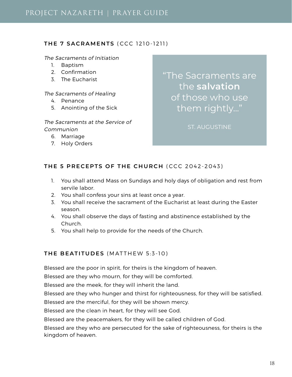# **THE 7 SACRAMENTS** (CCC 1210-1211)

#### The Sacraments of Initiation

- 1. Baptism
- 2. Confirmation
- 3. The Eucharist

The Sacraments of Healing

- 4. Penance
- 5. Anointing of the Sick

The Sacraments at the Service of Communion

- 6. Marriage
- 7. Holy Orders

"The Sacraments are the **salvation** of those who use them rightly..."

ST. AUGUSTINE

# **THE 5 PRECEPTS OF THE CHURCH** (CCC 2042-2043)

- 1. You shall attend Mass on Sundays and holy days of obligation and rest from servile labor.
- 2. You shall confess your sins at least once a year.
- 3. You shall receive the sacrament of the Eucharist at least during the Easter season.
- 4. You shall observe the days of fasting and abstinence established by the Church.
- 5. You shall help to provide for the needs of the Church.

# **THE BEATITUDES** (MATTHEW 5:3-10)

Blessed are the poor in spirit, for theirs is the kingdom of heaven.

Blessed are they who mourn, for they will be comforted.

Blessed are the meek, for they will inherit the land.

Blessed are they who hunger and thirst for righteousness, for they will be satisfied.

Blessed are the merciful, for they will be shown mercy.

Blessed are the clean in heart, for they will see God.

Blessed are the peacemakers, for they will be called children of God.

Blessed are they who are persecuted for the sake of righteousness, for theirs is the kingdom of heaven.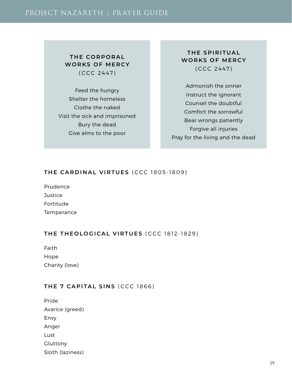# PROJECT NAZARETH | PR AYER GUIDE

# **THE CORPORAL WORKS OF MERCY** (CCC 2447)

Feed the hungry Shelter the homeless Clothe the naked Visit the sick and imprisoned Bury the dead Give alms to the poor

# **THE SPIRITUAL WORKS OF MERCY** (CCC 2447)

Admonish the sinner Instruct the ignorant Counsel the doubtful Comfort the sorrowful Bear wrongs patiently Forgive all injuries Pray for the living and the dead

# **THE CARDINAL VIRTUES** (CCC 1805-1809)

Prudence **Justice** Fortitude

**Temperance** 

# **THE THEOLOGICAL VIRTUES** (CCC 1812-1829)

Faith Hope Charity (love)

# **THE 7 CAPITAL SINS** (CCC 1866)

Pride Avarice (greed) Envy Anger Lust Gluttony Sloth (laziness)